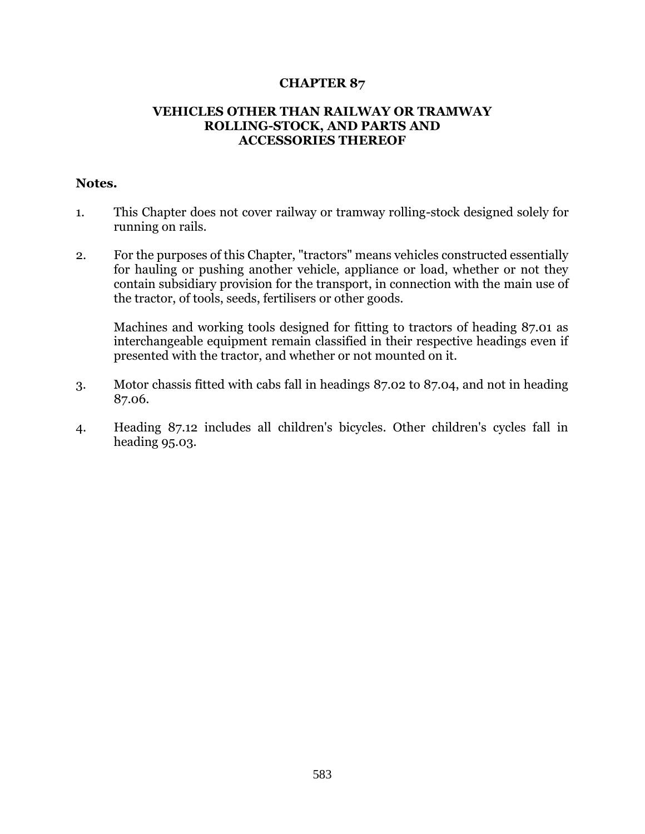## **CHAPTER 87**

## **VEHICLES OTHER THAN RAILWAY OR TRAMWAY ROLLING-STOCK, AND PARTS AND ACCESSORIES THEREOF**

## **Notes.**

- 1. This Chapter does not cover railway or tramway rolling-stock designed solely for running on rails.
- 2. For the purposes of this Chapter, "tractors" means vehicles constructed essentially for hauling or pushing another vehicle, appliance or load, whether or not they contain subsidiary provision for the transport, in connection with the main use of the tractor, of tools, seeds, fertilisers or other goods.

Machines and working tools designed for fitting to tractors of heading 87.01 as interchangeable equipment remain classified in their respective headings even if presented with the tractor, and whether or not mounted on it.

- 3. Motor chassis fitted with cabs fall in headings 87.02 to 87.04, and not in heading 87.06.
- 4. Heading 87.12 includes all children's bicycles. Other children's cycles fall in heading 95.03.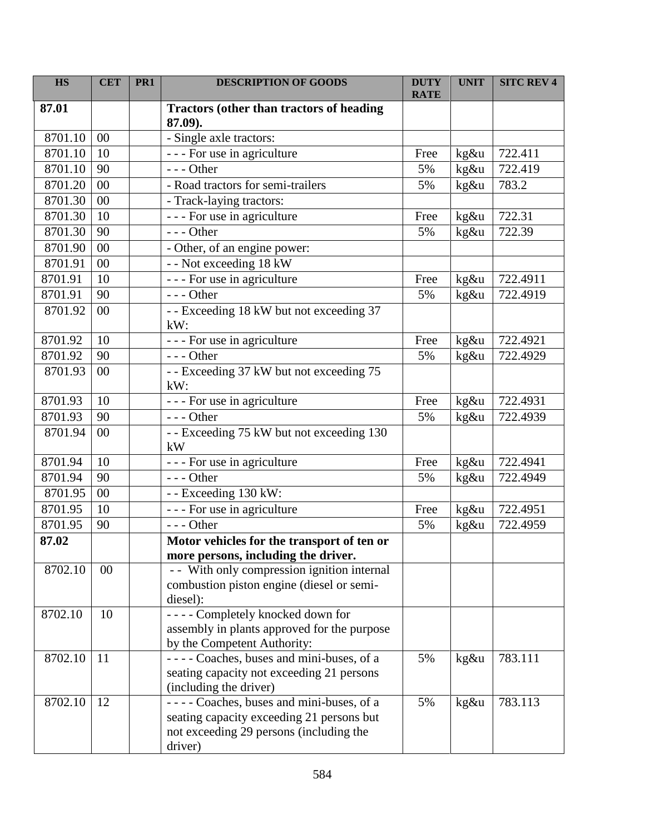| <b>HS</b> | <b>CET</b> | PR <sub>1</sub> | <b>DESCRIPTION OF GOODS</b>                                                                                                                 | <b>DUTY</b><br><b>RATE</b> | <b>UNIT</b> | <b>SITC REV 4</b> |
|-----------|------------|-----------------|---------------------------------------------------------------------------------------------------------------------------------------------|----------------------------|-------------|-------------------|
| 87.01     |            |                 | <b>Tractors (other than tractors of heading</b><br>87.09).                                                                                  |                            |             |                   |
| 8701.10   | 00         |                 | - Single axle tractors:                                                                                                                     |                            |             |                   |
| 8701.10   | 10         |                 | - - - For use in agriculture                                                                                                                | Free                       | kg&u        | 722.411           |
| 8701.10   | 90         |                 | $--$ Other                                                                                                                                  | 5%                         | kg&u        | 722.419           |
| 8701.20   | 00         |                 | - Road tractors for semi-trailers                                                                                                           | 5%                         | kg&u        | 783.2             |
| 8701.30   | 00         |                 | - Track-laying tractors:                                                                                                                    |                            |             |                   |
| 8701.30   | 10         |                 | - - - For use in agriculture                                                                                                                | Free                       | kg&u        | 722.31            |
| 8701.30   | 90         |                 | $--$ Other                                                                                                                                  | 5%                         | kg&u        | 722.39            |
| 8701.90   | 00         |                 | - Other, of an engine power:                                                                                                                |                            |             |                   |
| 8701.91   | $00\,$     |                 | -- Not exceeding 18 kW                                                                                                                      |                            |             |                   |
| 8701.91   | 10         |                 | - - - For use in agriculture                                                                                                                | Free                       | kg&u        | 722.4911          |
| 8701.91   | 90         |                 | $--$ Other                                                                                                                                  | 5%                         | kg&u        | 722.4919          |
| 8701.92   | $00\,$     |                 | - - Exceeding 18 kW but not exceeding 37<br>$kW$ :                                                                                          |                            |             |                   |
| 8701.92   | 10         |                 | - - - For use in agriculture                                                                                                                | Free                       | kg&u        | 722.4921          |
| 8701.92   | 90         |                 | $--$ Other                                                                                                                                  | 5%                         | kg&u        | 722.4929          |
| 8701.93   | 00         |                 | - - Exceeding 37 kW but not exceeding 75<br>kW:                                                                                             |                            |             |                   |
| 8701.93   | 10         |                 | --- For use in agriculture                                                                                                                  | Free                       | kg&u        | 722.4931          |
| 8701.93   | 90         |                 | $--$ Other                                                                                                                                  | 5%                         | kg&u        | 722.4939          |
| 8701.94   | 00         |                 | - - Exceeding 75 kW but not exceeding 130<br>kW                                                                                             |                            |             |                   |
| 8701.94   | 10         |                 | - - - For use in agriculture                                                                                                                | Free                       | kg&u        | 722.4941          |
| 8701.94   | 90         |                 | $--$ Other                                                                                                                                  | 5%                         | kg&u        | 722.4949          |
| 8701.95   | $00\,$     |                 | - - Exceeding 130 kW:                                                                                                                       |                            |             |                   |
| 8701.95   | 10         |                 | - - - For use in agriculture                                                                                                                | Free                       | kg&u        | 722.4951          |
| 8701.95   | 90         |                 | --- Other                                                                                                                                   | 5%                         | kg&u        | 722.4959          |
| 87.02     |            |                 | Motor vehicles for the transport of ten or                                                                                                  |                            |             |                   |
|           |            |                 | more persons, including the driver.                                                                                                         |                            |             |                   |
| 8702.10   | 00         |                 | - - With only compression ignition internal<br>combustion piston engine (diesel or semi-<br>diesel):                                        |                            |             |                   |
| 8702.10   | 10         |                 | ---- Completely knocked down for<br>assembly in plants approved for the purpose<br>by the Competent Authority:                              |                            |             |                   |
| 8702.10   | 11         |                 | ---- Coaches, buses and mini-buses, of a<br>seating capacity not exceeding 21 persons<br>(including the driver)                             | 5%                         | kg&u        | 783.111           |
| 8702.10   | 12         |                 | ---- Coaches, buses and mini-buses, of a<br>seating capacity exceeding 21 persons but<br>not exceeding 29 persons (including the<br>driver) | 5%                         | kg&u        | 783.113           |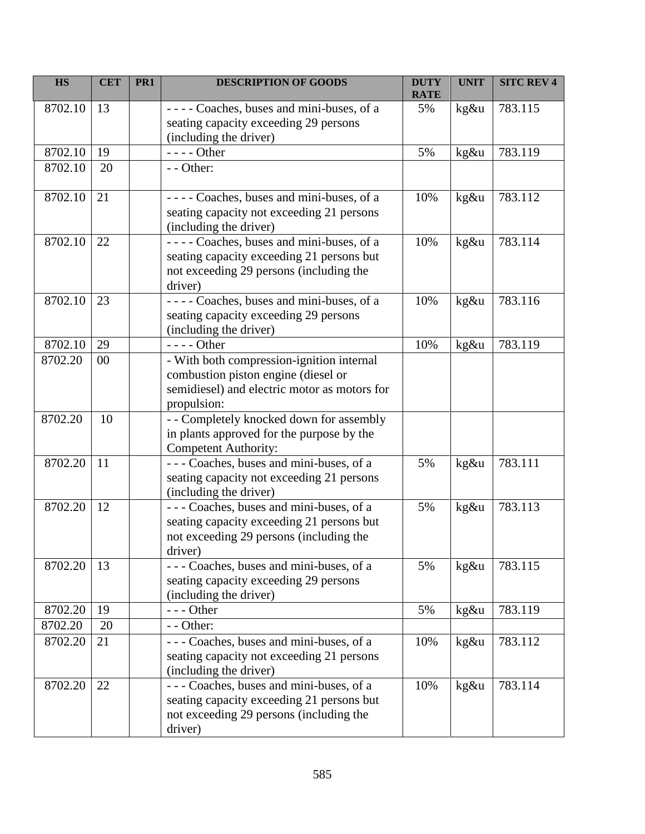| <b>HS</b> | <b>CET</b> | PR1 | <b>DESCRIPTION OF GOODS</b>                                                                                                                     | <b>DUTY</b><br><b>RATE</b> | <b>UNIT</b> | <b>SITC REV 4</b> |
|-----------|------------|-----|-------------------------------------------------------------------------------------------------------------------------------------------------|----------------------------|-------------|-------------------|
| 8702.10   | 13         |     | ---- Coaches, buses and mini-buses, of a<br>seating capacity exceeding 29 persons<br>(including the driver)                                     | 5%                         | kg&u        | 783.115           |
| 8702.10   | 19         |     | - - - - Other                                                                                                                                   | 5%                         | kg&u        | 783.119           |
| 8702.10   | 20         |     | - - Other:                                                                                                                                      |                            |             |                   |
| 8702.10   | 21         |     | ---- Coaches, buses and mini-buses, of a<br>seating capacity not exceeding 21 persons<br>(including the driver)                                 | 10%                        | kg&u        | 783.112           |
| 8702.10   | 22         |     | ---- Coaches, buses and mini-buses, of a<br>seating capacity exceeding 21 persons but<br>not exceeding 29 persons (including the<br>driver)     | 10%                        | kg&u        | 783.114           |
| 8702.10   | 23         |     | ---- Coaches, buses and mini-buses, of a<br>seating capacity exceeding 29 persons<br>(including the driver)                                     | 10%                        | kg&u        | 783.116           |
| 8702.10   | 29         |     | $--- Other$                                                                                                                                     | 10%                        | kg&u        | 783.119           |
| 8702.20   | 00         |     | - With both compression-ignition internal<br>combustion piston engine (diesel or<br>semidiesel) and electric motor as motors for<br>propulsion: |                            |             |                   |
| 8702.20   | 10         |     | - - Completely knocked down for assembly<br>in plants approved for the purpose by the<br><b>Competent Authority:</b>                            |                            |             |                   |
| 8702.20   | 11         |     | --- Coaches, buses and mini-buses, of a<br>seating capacity not exceeding 21 persons<br>(including the driver)                                  | 5%                         | kg&u        | 783.111           |
| 8702.20   | 12         |     | --- Coaches, buses and mini-buses, of a<br>seating capacity exceeding 21 persons but<br>not exceeding 29 persons (including the<br>driver)      | 5%                         | kg&u        | 783.113           |
| 8702.20   | 13         |     | --- Coaches, buses and mini-buses, of a<br>seating capacity exceeding 29 persons<br>(including the driver)                                      | 5%                         | kg&u        | 783.115           |
| 8702.20   | 19         |     | --- Other                                                                                                                                       | 5%                         | kg&u        | 783.119           |
| 8702.20   | 20         |     | - - Other:                                                                                                                                      |                            |             |                   |
| 8702.20   | 21         |     | --- Coaches, buses and mini-buses, of a<br>seating capacity not exceeding 21 persons<br>(including the driver)                                  | 10%                        | kg&u        | 783.112           |
| 8702.20   | 22         |     | --- Coaches, buses and mini-buses, of a<br>seating capacity exceeding 21 persons but<br>not exceeding 29 persons (including the<br>driver)      | 10%                        | kg&u        | 783.114           |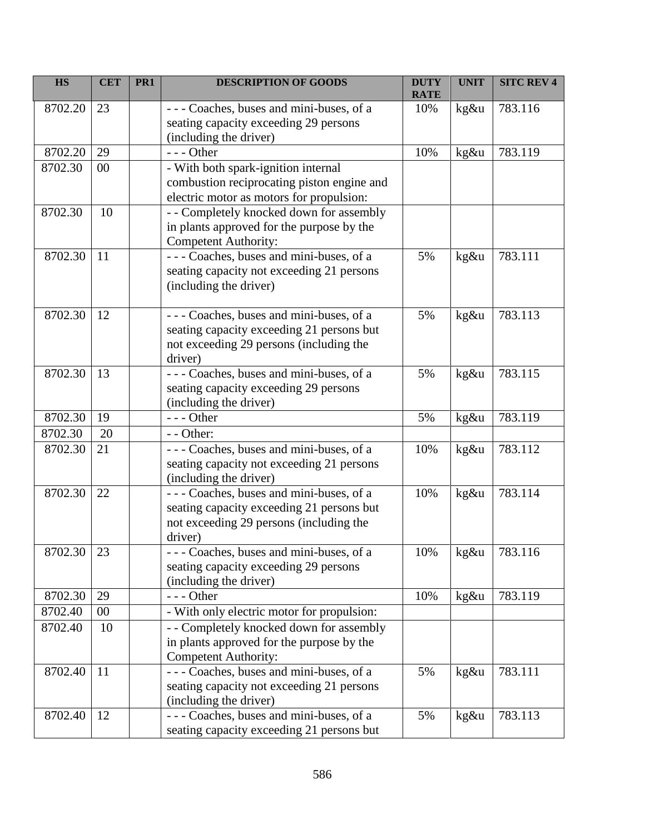| <b>HS</b> | <b>CET</b> | PR1 | <b>DESCRIPTION OF GOODS</b>                                                                                                                | <b>DUTY</b><br><b>RATE</b> | <b>UNIT</b> | <b>SITC REV 4</b> |
|-----------|------------|-----|--------------------------------------------------------------------------------------------------------------------------------------------|----------------------------|-------------|-------------------|
| 8702.20   | 23         |     | - - - Coaches, buses and mini-buses, of a<br>seating capacity exceeding 29 persons<br>(including the driver)                               | 10%                        | kg&u        | 783.116           |
| 8702.20   | 29         |     | --- Other                                                                                                                                  | 10%                        | kg&u        | 783.119           |
| 8702.30   | 00         |     | - With both spark-ignition internal<br>combustion reciprocating piston engine and<br>electric motor as motors for propulsion:              |                            |             |                   |
| 8702.30   | 10         |     | - - Completely knocked down for assembly<br>in plants approved for the purpose by the<br><b>Competent Authority:</b>                       |                            |             |                   |
| 8702.30   | 11         |     | --- Coaches, buses and mini-buses, of a<br>seating capacity not exceeding 21 persons<br>(including the driver)                             | 5%                         | kg&u        | 783.111           |
| 8702.30   | 12         |     | --- Coaches, buses and mini-buses, of a<br>seating capacity exceeding 21 persons but<br>not exceeding 29 persons (including the<br>driver) | 5%                         | kg&u        | 783.113           |
| 8702.30   | 13         |     | --- Coaches, buses and mini-buses, of a<br>seating capacity exceeding 29 persons<br>(including the driver)                                 | 5%                         | kg&u        | 783.115           |
| 8702.30   | 19         |     | $--$ Other                                                                                                                                 | 5%                         | kg&u        | 783.119           |
| 8702.30   | 20         |     | - - Other:                                                                                                                                 |                            |             |                   |
| 8702.30   | 21         |     | --- Coaches, buses and mini-buses, of a<br>seating capacity not exceeding 21 persons<br>(including the driver)                             | 10%                        | kg&u        | 783.112           |
| 8702.30   | 22         |     | --- Coaches, buses and mini-buses, of a<br>seating capacity exceeding 21 persons but<br>not exceeding 29 persons (including the<br>driver) | 10%                        | kg&u        | 783.114           |
| 8702.30   | 23         |     | --- Coaches, buses and mini-buses, of a<br>seating capacity exceeding 29 persons<br>(including the driver)                                 | 10%                        | kg&u        | 783.116           |
| 8702.30   | 29         |     | --- Other                                                                                                                                  | 10%                        | kg&u        | 783.119           |
| 8702.40   | $00\,$     |     | - With only electric motor for propulsion:                                                                                                 |                            |             |                   |
| 8702.40   | 10         |     | - - Completely knocked down for assembly<br>in plants approved for the purpose by the<br>Competent Authority:                              |                            |             |                   |
| 8702.40   | 11         |     | --- Coaches, buses and mini-buses, of a<br>seating capacity not exceeding 21 persons<br>(including the driver)                             | 5%                         | kg&u        | 783.111           |
| 8702.40   | 12         |     | --- Coaches, buses and mini-buses, of a<br>seating capacity exceeding 21 persons but                                                       | 5%                         | kg&u        | 783.113           |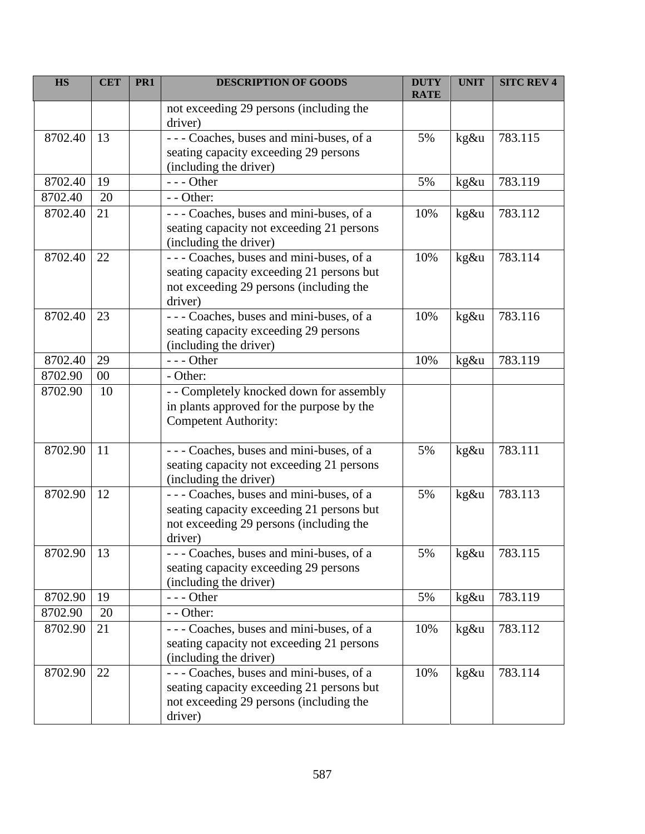| <b>HS</b> | <b>CET</b> | PR <sub>1</sub> | <b>DESCRIPTION OF GOODS</b>                                                                                                                | <b>DUTY</b><br><b>RATE</b> | <b>UNIT</b> | <b>SITC REV 4</b> |
|-----------|------------|-----------------|--------------------------------------------------------------------------------------------------------------------------------------------|----------------------------|-------------|-------------------|
|           |            |                 | not exceeding 29 persons (including the<br>driver)                                                                                         |                            |             |                   |
| 8702.40   | 13         |                 | --- Coaches, buses and mini-buses, of a<br>seating capacity exceeding 29 persons<br>(including the driver)                                 | 5%                         | kg&u        | 783.115           |
| 8702.40   | 19         |                 | --- Other                                                                                                                                  | 5%                         | kg&u        | 783.119           |
| 8702.40   | 20         |                 | $-$ - Other:                                                                                                                               |                            |             |                   |
| 8702.40   | 21         |                 | --- Coaches, buses and mini-buses, of a<br>seating capacity not exceeding 21 persons<br>(including the driver)                             | 10%                        | kg&u        | 783.112           |
| 8702.40   | 22         |                 | --- Coaches, buses and mini-buses, of a<br>seating capacity exceeding 21 persons but<br>not exceeding 29 persons (including the<br>driver) | 10%                        | kg&u        | 783.114           |
| 8702.40   | 23         |                 | --- Coaches, buses and mini-buses, of a<br>seating capacity exceeding 29 persons<br>(including the driver)                                 | 10%                        | kg&u        | 783.116           |
| 8702.40   | 29         |                 | $--$ Other                                                                                                                                 | 10%                        | kg&u        | 783.119           |
| 8702.90   | 00         |                 | - Other:                                                                                                                                   |                            |             |                   |
| 8702.90   | 10         |                 | - - Completely knocked down for assembly<br>in plants approved for the purpose by the<br><b>Competent Authority:</b>                       |                            |             |                   |
| 8702.90   | 11         |                 | ---Coaches, buses and mini-buses, of a<br>seating capacity not exceeding 21 persons<br>(including the driver)                              | 5%                         | kg&u        | 783.111           |
| 8702.90   | 12         |                 | --- Coaches, buses and mini-buses, of a<br>seating capacity exceeding 21 persons but<br>not exceeding 29 persons (including the<br>driver) | 5%                         | kg&u        | 783.113           |
| 8702.90   | 13         |                 | --- Coaches, buses and mini-buses, of a<br>seating capacity exceeding 29 persons<br>(including the driver)                                 | 5%                         | kg&u        | 783.115           |
| 8702.90   | 19         |                 | --- Other                                                                                                                                  | 5%                         | kg&u        | 783.119           |
| 8702.90   | 20         |                 | - - Other:                                                                                                                                 |                            |             |                   |
| 8702.90   | 21         |                 | --- Coaches, buses and mini-buses, of a<br>seating capacity not exceeding 21 persons<br>(including the driver)                             | 10%                        | kg&u        | 783.112           |
| 8702.90   | 22         |                 | --- Coaches, buses and mini-buses, of a<br>seating capacity exceeding 21 persons but<br>not exceeding 29 persons (including the<br>driver) | 10%                        | kg&u        | 783.114           |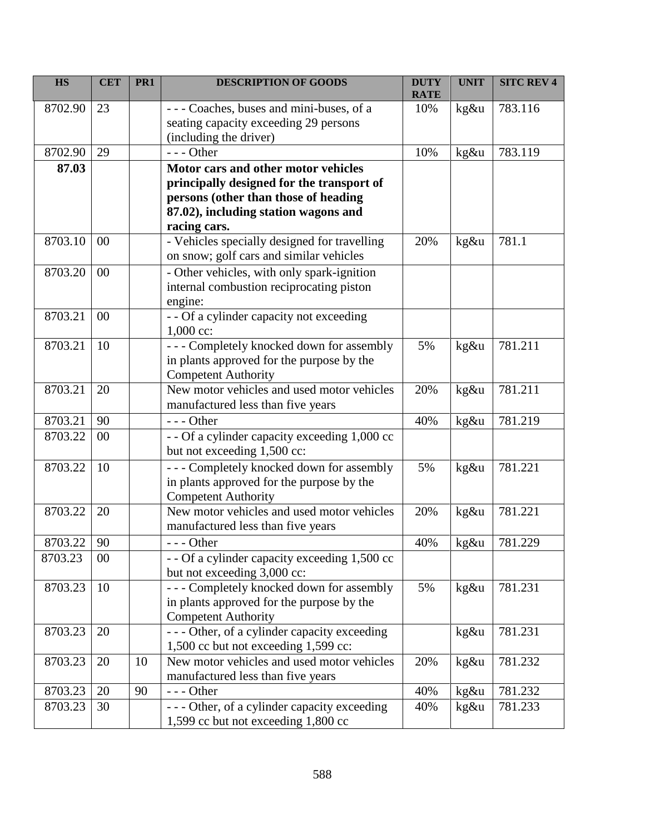| <b>HS</b> | <b>CET</b> | PR <sub>1</sub> | <b>DESCRIPTION OF GOODS</b>                                                                                                                                                      | <b>DUTY</b><br><b>RATE</b> | <b>UNIT</b> | <b>SITC REV 4</b> |
|-----------|------------|-----------------|----------------------------------------------------------------------------------------------------------------------------------------------------------------------------------|----------------------------|-------------|-------------------|
| 8702.90   | 23         |                 | - - - Coaches, buses and mini-buses, of a<br>seating capacity exceeding 29 persons<br>(including the driver)                                                                     | 10%                        | kg&u        | 783.116           |
| 8702.90   | 29         |                 | $--$ Other                                                                                                                                                                       | 10%                        | kg&u        | 783.119           |
| 87.03     |            |                 | Motor cars and other motor vehicles<br>principally designed for the transport of<br>persons (other than those of heading<br>87.02), including station wagons and<br>racing cars. |                            |             |                   |
| 8703.10   | 00         |                 | - Vehicles specially designed for travelling<br>on snow; golf cars and similar vehicles                                                                                          | 20%                        | kg&u        | 781.1             |
| 8703.20   | 00         |                 | - Other vehicles, with only spark-ignition<br>internal combustion reciprocating piston<br>engine:                                                                                |                            |             |                   |
| 8703.21   | 00         |                 | - - Of a cylinder capacity not exceeding<br>$1,000$ cc:                                                                                                                          |                            |             |                   |
| 8703.21   | 10         |                 | --- Completely knocked down for assembly<br>in plants approved for the purpose by the<br><b>Competent Authority</b>                                                              | 5%                         | kg&u        | 781.211           |
| 8703.21   | 20         |                 | New motor vehicles and used motor vehicles<br>manufactured less than five years                                                                                                  | 20%                        | kg&u        | 781.211           |
| 8703.21   | 90         |                 | $--$ Other                                                                                                                                                                       | 40%                        | kg&u        | 781.219           |
| 8703.22   | 00         |                 | - - Of a cylinder capacity exceeding 1,000 cc<br>but not exceeding 1,500 cc:                                                                                                     |                            |             |                   |
| 8703.22   | 10         |                 | --- Completely knocked down for assembly<br>in plants approved for the purpose by the<br><b>Competent Authority</b>                                                              | 5%                         | kg&u        | 781.221           |
| 8703.22   | 20         |                 | New motor vehicles and used motor vehicles<br>manufactured less than five years                                                                                                  | 20%                        | kg&u        | 781.221           |
| 8703.22   | 90         |                 | $--$ Other                                                                                                                                                                       | 40%                        | kg&u        | 781.229           |
| 8703.23   | 00         |                 | - - Of a cylinder capacity exceeding 1,500 cc<br>but not exceeding 3,000 cc:                                                                                                     |                            |             |                   |
| 8703.23   | 10         |                 | --- Completely knocked down for assembly<br>in plants approved for the purpose by the<br><b>Competent Authority</b>                                                              | 5%                         | kg&u        | 781.231           |
| 8703.23   | 20         |                 | - - - Other, of a cylinder capacity exceeding<br>1,500 cc but not exceeding 1,599 cc:                                                                                            |                            | kg&u        | 781.231           |
| 8703.23   | 20         | 10              | New motor vehicles and used motor vehicles<br>manufactured less than five years                                                                                                  | 20%                        | kg&u        | 781.232           |
| 8703.23   | 20         | 90              | $--$ Other                                                                                                                                                                       | 40%                        | kg&u        | 781.232           |
| 8703.23   | 30         |                 | - - - Other, of a cylinder capacity exceeding<br>1,599 cc but not exceeding 1,800 cc                                                                                             | 40%                        | kg&u        | 781.233           |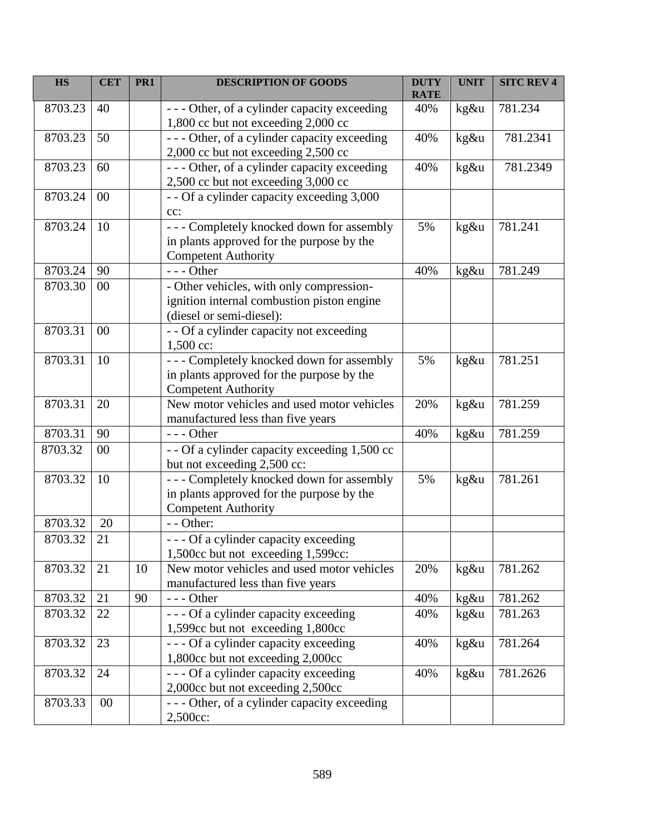| <b>HS</b> | <b>CET</b> | PR <sub>1</sub> | <b>DESCRIPTION OF GOODS</b>                                                                                         | <b>DUTY</b><br><b>RATE</b> | <b>UNIT</b> | <b>SITC REV 4</b> |
|-----------|------------|-----------------|---------------------------------------------------------------------------------------------------------------------|----------------------------|-------------|-------------------|
| 8703.23   | 40         |                 | - - - Other, of a cylinder capacity exceeding<br>1,800 cc but not exceeding 2,000 cc                                | 40%                        | $kg\&u$     | 781.234           |
| 8703.23   | 50         |                 | --- Other, of a cylinder capacity exceeding<br>2,000 cc but not exceeding 2,500 cc                                  | 40%                        | kg&u        | 781.2341          |
| 8703.23   | 60         |                 | --- Other, of a cylinder capacity exceeding<br>2,500 cc but not exceeding 3,000 cc                                  | 40%                        | kg&u        | 781.2349          |
| 8703.24   | 00         |                 | - - Of a cylinder capacity exceeding 3,000<br>cc:                                                                   |                            |             |                   |
| 8703.24   | 10         |                 | --- Completely knocked down for assembly<br>in plants approved for the purpose by the<br><b>Competent Authority</b> | 5%                         | kg&u        | 781.241           |
| 8703.24   | 90         |                 | $--$ Other                                                                                                          | 40%                        | kg&u        | 781.249           |
| 8703.30   | 00         |                 | - Other vehicles, with only compression-<br>ignition internal combustion piston engine<br>(diesel or semi-diesel):  |                            |             |                   |
| 8703.31   | 00         |                 | - - Of a cylinder capacity not exceeding<br>1,500 cc:                                                               |                            |             |                   |
| 8703.31   | 10         |                 | --- Completely knocked down for assembly<br>in plants approved for the purpose by the<br><b>Competent Authority</b> | 5%                         | kg&u        | 781.251           |
| 8703.31   | 20         |                 | New motor vehicles and used motor vehicles<br>manufactured less than five years                                     | 20%                        | kg&u        | 781.259           |
| 8703.31   | 90         |                 | $--$ Other                                                                                                          | 40%                        | kg&u        | 781.259           |
| 8703.32   | 00         |                 | - - Of a cylinder capacity exceeding 1,500 cc<br>but not exceeding 2,500 cc:                                        |                            |             |                   |
| 8703.32   | 10         |                 | --- Completely knocked down for assembly<br>in plants approved for the purpose by the<br><b>Competent Authority</b> | 5%                         | kg&u        | 781.261           |
| 8703.32   | 20         |                 | $-$ - Other:                                                                                                        |                            |             |                   |
| 8703.32   | 21         |                 | --- Of a cylinder capacity exceeding<br>1,500cc but not exceeding 1,599cc:                                          |                            |             |                   |
| 8703.32   | 21         | 10              | New motor vehicles and used motor vehicles<br>manufactured less than five years                                     | 20%                        | kg&u        | 781.262           |
| 8703.32   | 21         | 90              | $--$ Other                                                                                                          | 40%                        | kg&u        | 781.262           |
| 8703.32   | 22         |                 | - - - Of a cylinder capacity exceeding<br>1,599cc but not exceeding 1,800cc                                         | 40%                        | kg&u        | 781.263           |
| 8703.32   | 23         |                 | - - - Of a cylinder capacity exceeding<br>1,800cc but not exceeding 2,000cc                                         | 40%                        | kg&u        | 781.264           |
| 8703.32   | 24         |                 | --- Of a cylinder capacity exceeding<br>2,000cc but not exceeding 2,500cc                                           | 40%                        | kg&u        | 781.2626          |
| 8703.33   | 00         |                 | - - - Other, of a cylinder capacity exceeding<br>2,500cc:                                                           |                            |             |                   |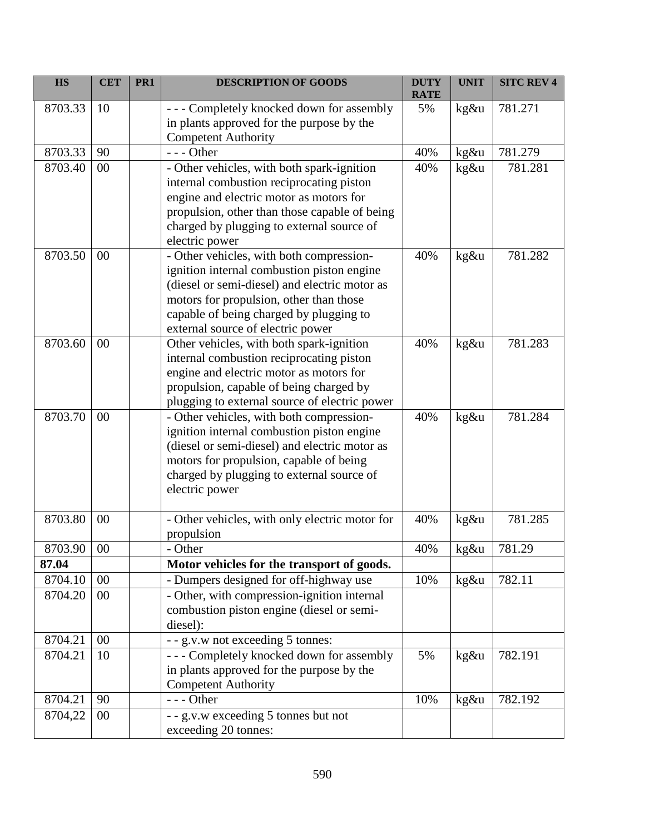| <b>HS</b> | <b>CET</b> | PR1 | <b>DESCRIPTION OF GOODS</b>                                                                                                                                                                                                                                        | <b>DUTY</b><br><b>RATE</b> | <b>UNIT</b> | <b>SITC REV 4</b> |
|-----------|------------|-----|--------------------------------------------------------------------------------------------------------------------------------------------------------------------------------------------------------------------------------------------------------------------|----------------------------|-------------|-------------------|
| 8703.33   | 10         |     | --- Completely knocked down for assembly<br>in plants approved for the purpose by the<br><b>Competent Authority</b>                                                                                                                                                | 5%                         | kg&u        | 781.271           |
| 8703.33   | 90         |     | $--$ Other                                                                                                                                                                                                                                                         | 40%                        | kg&u        | 781.279           |
| 8703.40   | 00         |     | - Other vehicles, with both spark-ignition<br>internal combustion reciprocating piston<br>engine and electric motor as motors for<br>propulsion, other than those capable of being<br>charged by plugging to external source of<br>electric power                  | 40%                        | kg&u        | 781.281           |
| 8703.50   | 00         |     | - Other vehicles, with both compression-<br>ignition internal combustion piston engine<br>(diesel or semi-diesel) and electric motor as<br>motors for propulsion, other than those<br>capable of being charged by plugging to<br>external source of electric power | 40%                        | kg&u        | 781.282           |
| 8703.60   | 00         |     | Other vehicles, with both spark-ignition<br>internal combustion reciprocating piston<br>engine and electric motor as motors for<br>propulsion, capable of being charged by<br>plugging to external source of electric power                                        | 40%                        | kg&u        | 781.283           |
| 8703.70   | 00         |     | - Other vehicles, with both compression-<br>ignition internal combustion piston engine<br>(diesel or semi-diesel) and electric motor as<br>motors for propulsion, capable of being<br>charged by plugging to external source of<br>electric power                  | 40%                        | kg&u        | 781.284           |
| 8703.80   | 00         |     | - Other vehicles, with only electric motor for<br>propulsion                                                                                                                                                                                                       | 40%                        | kg&u        | 781.285           |
| 8703.90   | 00         |     | - Other                                                                                                                                                                                                                                                            | 40%                        | kg&u        | 781.29            |
| 87.04     |            |     | Motor vehicles for the transport of goods.                                                                                                                                                                                                                         |                            |             |                   |
| 8704.10   | 00         |     | - Dumpers designed for off-highway use                                                                                                                                                                                                                             | 10%                        | kg&u        | 782.11            |
| 8704.20   | 00         |     | - Other, with compression-ignition internal<br>combustion piston engine (diesel or semi-<br>diesel):                                                                                                                                                               |                            |             |                   |
| 8704.21   | 00         |     | - - g.v.w not exceeding 5 tonnes:                                                                                                                                                                                                                                  |                            |             |                   |
| 8704.21   | 10         |     | --- Completely knocked down for assembly<br>in plants approved for the purpose by the<br><b>Competent Authority</b>                                                                                                                                                | 5%                         | kg&u        | 782.191           |
| 8704.21   | 90         |     | --- Other                                                                                                                                                                                                                                                          | 10%                        | kg&u        | 782.192           |
| 8704,22   | $00\,$     |     | - - g.v.w exceeding 5 tonnes but not<br>exceeding 20 tonnes:                                                                                                                                                                                                       |                            |             |                   |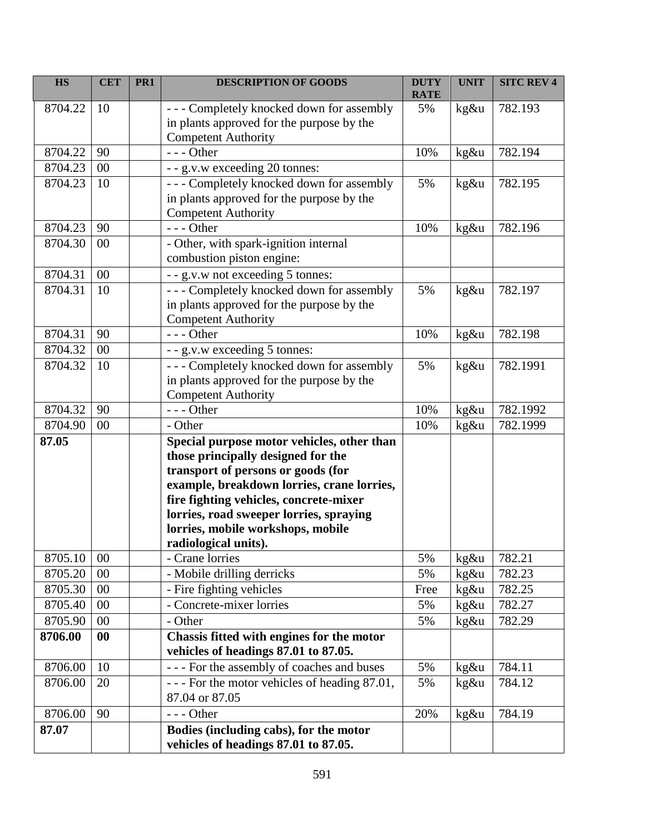| <b>HS</b> | <b>CET</b>        | PR <sub>1</sub> | <b>DESCRIPTION OF GOODS</b>                                                                                                                                                                                                                                                                                            | <b>DUTY</b><br><b>RATE</b> | <b>UNIT</b> | <b>SITC REV 4</b> |
|-----------|-------------------|-----------------|------------------------------------------------------------------------------------------------------------------------------------------------------------------------------------------------------------------------------------------------------------------------------------------------------------------------|----------------------------|-------------|-------------------|
| 8704.22   | 10                |                 | --- Completely knocked down for assembly<br>in plants approved for the purpose by the<br><b>Competent Authority</b>                                                                                                                                                                                                    | 5%                         | kg&u        | 782.193           |
| 8704.22   | 90                |                 | $--$ Other                                                                                                                                                                                                                                                                                                             | 10%                        | kg&u        | 782.194           |
| 8704.23   | 00                |                 | - - g.v.w exceeding 20 tonnes:                                                                                                                                                                                                                                                                                         |                            |             |                   |
| 8704.23   | 10                |                 | --- Completely knocked down for assembly<br>in plants approved for the purpose by the<br><b>Competent Authority</b>                                                                                                                                                                                                    | 5%                         | kg&u        | 782.195           |
| 8704.23   | 90                |                 | $--$ Other                                                                                                                                                                                                                                                                                                             | 10%                        | kg&u        | 782.196           |
| 8704.30   | 00                |                 | - Other, with spark-ignition internal<br>combustion piston engine:                                                                                                                                                                                                                                                     |                            |             |                   |
| 8704.31   | 00                |                 | - - g.v.w not exceeding 5 tonnes:                                                                                                                                                                                                                                                                                      |                            |             |                   |
| 8704.31   | 10                |                 | --- Completely knocked down for assembly<br>in plants approved for the purpose by the<br><b>Competent Authority</b>                                                                                                                                                                                                    | 5%                         | kg&u        | 782.197           |
| 8704.31   | 90                |                 | $--$ Other                                                                                                                                                                                                                                                                                                             | 10%                        | kg&u        | 782.198           |
| 8704.32   | 00                |                 | - - g.v.w exceeding 5 tonnes:                                                                                                                                                                                                                                                                                          |                            |             |                   |
| 8704.32   | 10                |                 | --- Completely knocked down for assembly<br>in plants approved for the purpose by the<br><b>Competent Authority</b>                                                                                                                                                                                                    | 5%                         | kg&u        | 782.1991          |
| 8704.32   | 90                |                 | $--$ Other                                                                                                                                                                                                                                                                                                             | 10%                        | kg&u        | 782.1992          |
| 8704.90   | 00                |                 | - Other                                                                                                                                                                                                                                                                                                                | 10%                        | kg&u        | 782.1999          |
| 87.05     |                   |                 | Special purpose motor vehicles, other than<br>those principally designed for the<br>transport of persons or goods (for<br>example, breakdown lorries, crane lorries,<br>fire fighting vehicles, concrete-mixer<br>lorries, road sweeper lorries, spraying<br>lorries, mobile workshops, mobile<br>radiological units). |                            |             |                   |
| 8705.10   | 00                |                 | - Crane lorries                                                                                                                                                                                                                                                                                                        | 5%                         | kg&u        | 782.21            |
| 8705.20   | 00                |                 | - Mobile drilling derricks                                                                                                                                                                                                                                                                                             | 5%                         | kg&u        | 782.23            |
| 8705.30   | 00                |                 | - Fire fighting vehicles                                                                                                                                                                                                                                                                                               | Free                       | kg&u        | 782.25            |
| 8705.40   | 00                |                 | - Concrete-mixer lorries                                                                                                                                                                                                                                                                                               | 5%                         | kg&u        | 782.27            |
| 8705.90   | 00                |                 | - Other                                                                                                                                                                                                                                                                                                                | 5%                         | kg&u        | 782.29            |
| 8706.00   | $\boldsymbol{00}$ |                 | Chassis fitted with engines for the motor<br>vehicles of headings 87.01 to 87.05.                                                                                                                                                                                                                                      |                            |             |                   |
| 8706.00   | 10                |                 | --- For the assembly of coaches and buses                                                                                                                                                                                                                                                                              | 5%                         | kg&u        | 784.11            |
| 8706.00   | 20                |                 | - - - For the motor vehicles of heading 87.01,<br>87.04 or 87.05                                                                                                                                                                                                                                                       | 5%                         | kg&u        | 784.12            |
| 8706.00   | 90                |                 | $--$ Other                                                                                                                                                                                                                                                                                                             | 20%                        | kg&u        | 784.19            |
| 87.07     |                   |                 | Bodies (including cabs), for the motor<br>vehicles of headings 87.01 to 87.05.                                                                                                                                                                                                                                         |                            |             |                   |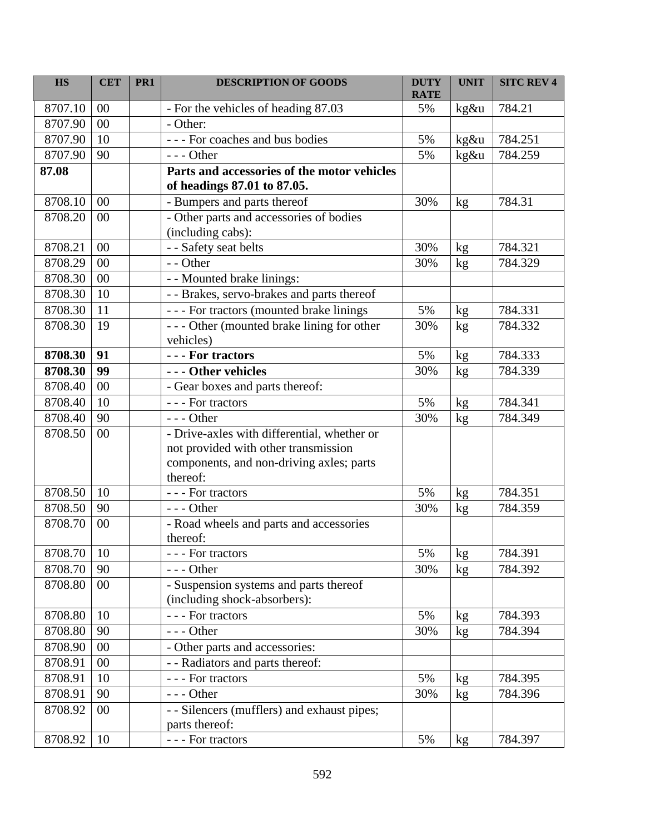| <b>HS</b> | <b>CET</b> | PR <sub>1</sub> | <b>DESCRIPTION OF GOODS</b>                                                                  | <b>DUTY</b><br><b>RATE</b> | <b>UNIT</b> | <b>SITC REV 4</b> |
|-----------|------------|-----------------|----------------------------------------------------------------------------------------------|----------------------------|-------------|-------------------|
| 8707.10   | 00         |                 | - For the vehicles of heading 87.03                                                          | 5%                         | kg&u        | 784.21            |
| 8707.90   | 00         |                 | - Other:                                                                                     |                            |             |                   |
| 8707.90   | 10         |                 | --- For coaches and bus bodies                                                               | 5%                         | kg&u        | 784.251           |
| 8707.90   | 90         |                 | $--$ Other                                                                                   | 5%                         | kg&u        | 784.259           |
| 87.08     |            |                 | Parts and accessories of the motor vehicles<br>of headings 87.01 to 87.05.                   |                            |             |                   |
| 8708.10   | 00         |                 | - Bumpers and parts thereof                                                                  | 30%                        | kg          | 784.31            |
| 8708.20   | 00         |                 | - Other parts and accessories of bodies<br>(including cabs):                                 |                            |             |                   |
| 8708.21   | 00         |                 | - - Safety seat belts                                                                        | 30%                        | kg          | 784.321           |
| 8708.29   | 00         |                 | - - Other                                                                                    | 30%                        | kg          | 784.329           |
| 8708.30   | 00         |                 | - - Mounted brake linings:                                                                   |                            |             |                   |
| 8708.30   | 10         |                 | - - Brakes, servo-brakes and parts thereof                                                   |                            |             |                   |
| 8708.30   | 11         |                 | - - - For tractors (mounted brake linings                                                    | 5%                         | kg          | 784.331           |
| 8708.30   | 19         |                 | --- Other (mounted brake lining for other<br>vehicles)                                       | 30%                        | kg          | 784.332           |
| 8708.30   | 91         |                 | - - - For tractors                                                                           | 5%                         | kg          | 784.333           |
| 8708.30   | 99         |                 | --- Other vehicles                                                                           | 30%                        | kg          | 784.339           |
| 8708.40   | 00         |                 | - Gear boxes and parts thereof:                                                              |                            |             |                   |
| 8708.40   | 10         |                 | --- For tractors                                                                             | 5%                         | kg          | 784.341           |
| 8708.40   | 90         |                 | $--$ Other                                                                                   | 30%                        | kg          | 784.349           |
| 8708.50   | 00         |                 | - Drive-axles with differential, whether or                                                  |                            |             |                   |
|           |            |                 | not provided with other transmission<br>components, and non-driving axles; parts<br>thereof: |                            |             |                   |
| 8708.50   | 10         |                 | - - - For tractors                                                                           | 5%                         | kg          | 784.351           |
| 8708.50   | 90         |                 | $--$ Other                                                                                   | 30%                        | kg          | 784.359           |
| 8708.70   | 00         |                 | - Road wheels and parts and accessories<br>thereof:                                          |                            |             |                   |
| 8708.70   | 10         |                 | --- For tractors                                                                             | 5%                         | kg          | 784.391           |
| 8708.70   | 90         |                 | --- Other                                                                                    | 30%                        | kg          | 784.392           |
| 8708.80   | 00         |                 | - Suspension systems and parts thereof<br>(including shock-absorbers):                       |                            |             |                   |
| 8708.80   | 10         |                 | $\overline{-}$ - For tractors                                                                | 5%                         | kg          | 784.393           |
| 8708.80   | 90         |                 | --- Other                                                                                    | 30%                        | kg          | 784.394           |
| 8708.90   | 00         |                 | - Other parts and accessories:                                                               |                            |             |                   |
| 8708.91   | $00\,$     |                 | - - Radiators and parts thereof:                                                             |                            |             |                   |
| 8708.91   | 10         |                 | --- For tractors                                                                             | 5%                         | kg          | 784.395           |
| 8708.91   | 90         |                 | --- Other                                                                                    | 30%                        | kg          | 784.396           |
| 8708.92   | 00         |                 | - - Silencers (mufflers) and exhaust pipes;<br>parts thereof:                                |                            |             |                   |
| 8708.92   | 10         |                 | --- For tractors                                                                             | 5%                         | kg          | 784.397           |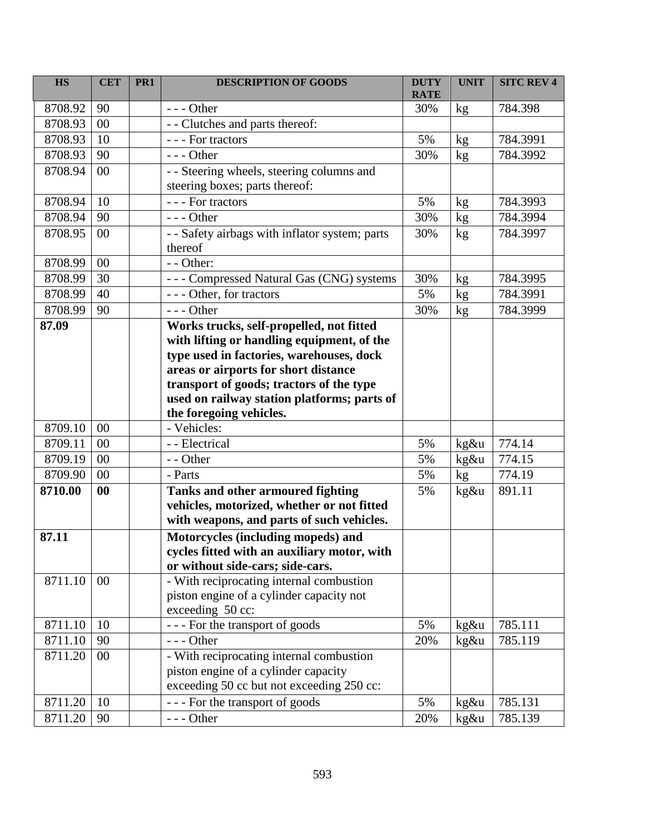| <b>HS</b> | <b>CET</b> | PR <sub>1</sub> | <b>DESCRIPTION OF GOODS</b>                                                             | <b>DUTY</b><br><b>RATE</b> | <b>UNIT</b> | <b>SITC REV 4</b> |
|-----------|------------|-----------------|-----------------------------------------------------------------------------------------|----------------------------|-------------|-------------------|
| 8708.92   | 90         |                 | $--$ Other                                                                              | 30%                        | kg          | 784.398           |
| 8708.93   | 00         |                 | - - Clutches and parts thereof:                                                         |                            |             |                   |
| 8708.93   | 10         |                 | - - - For tractors                                                                      | 5%                         | kg          | 784.3991          |
| 8708.93   | 90         |                 | $--$ Other                                                                              | 30%                        | kg          | 784.3992          |
| 8708.94   | 00         |                 | - - Steering wheels, steering columns and                                               |                            |             |                   |
|           |            |                 | steering boxes; parts thereof:                                                          |                            |             |                   |
| 8708.94   | 10         |                 | --- For tractors                                                                        | 5%                         | kg          | 784.3993          |
| 8708.94   | 90         |                 | $--$ Other                                                                              | 30%                        | kg          | 784.3994          |
| 8708.95   | 00         |                 | - - Safety airbags with inflator system; parts                                          | 30%                        | kg          | 784.3997          |
|           |            |                 | thereof                                                                                 |                            |             |                   |
| 8708.99   | $00\,$     |                 | - - Other:                                                                              |                            |             |                   |
| 8708.99   | 30         |                 | --- Compressed Natural Gas (CNG) systems                                                | 30%                        | kg          | 784.3995          |
| 8708.99   | 40         |                 | --- Other, for tractors                                                                 | 5%                         | kg          | 784.3991          |
| 8708.99   | 90         |                 | $--$ Other                                                                              | 30%                        | kg          | 784.3999          |
| 87.09     |            |                 | Works trucks, self-propelled, not fitted                                                |                            |             |                   |
|           |            |                 | with lifting or handling equipment, of the                                              |                            |             |                   |
|           |            |                 | type used in factories, warehouses, dock                                                |                            |             |                   |
|           |            |                 | areas or airports for short distance                                                    |                            |             |                   |
|           |            |                 | transport of goods; tractors of the type<br>used on railway station platforms; parts of |                            |             |                   |
|           |            |                 | the foregoing vehicles.                                                                 |                            |             |                   |
| 8709.10   | 00         |                 | - Vehicles:                                                                             |                            |             |                   |
| 8709.11   | 00         |                 | - - Electrical                                                                          | 5%                         | kg&u        | 774.14            |
| 8709.19   | 00         |                 | - - Other                                                                               | 5%                         | kg&u        | 774.15            |
| 8709.90   | 00         |                 | - Parts                                                                                 | 5%                         | kg          | 774.19            |
| 8710.00   | 00         |                 | Tanks and other armoured fighting                                                       | 5%                         | kg&u        | 891.11            |
|           |            |                 | vehicles, motorized, whether or not fitted                                              |                            |             |                   |
|           |            |                 | with weapons, and parts of such vehicles.                                               |                            |             |                   |
| 87.11     |            |                 | Motorcycles (including mopeds) and                                                      |                            |             |                   |
|           |            |                 | cycles fitted with an auxiliary motor, with                                             |                            |             |                   |
|           |            |                 | or without side-cars; side-cars.                                                        |                            |             |                   |
| 8711.10   | 00         |                 | - With reciprocating internal combustion                                                |                            |             |                   |
|           |            |                 | piston engine of a cylinder capacity not                                                |                            |             |                   |
|           |            |                 | exceeding 50 cc:                                                                        |                            |             |                   |
| 8711.10   | 10         |                 | --- For the transport of goods                                                          | 5%                         | kg&u        | 785.111           |
| 8711.10   | 90         |                 | $--$ Other                                                                              | 20%                        | kg&u        | 785.119           |
| 8711.20   | 00         |                 | - With reciprocating internal combustion                                                |                            |             |                   |
|           |            |                 | piston engine of a cylinder capacity                                                    |                            |             |                   |
|           |            |                 | exceeding 50 cc but not exceeding 250 cc:                                               |                            |             |                   |
| 8711.20   | 10         |                 | --- For the transport of goods                                                          | 5%                         | kg&u        | 785.131           |
| 8711.20   | 90         |                 | --- Other                                                                               | 20%                        | kg&u        | 785.139           |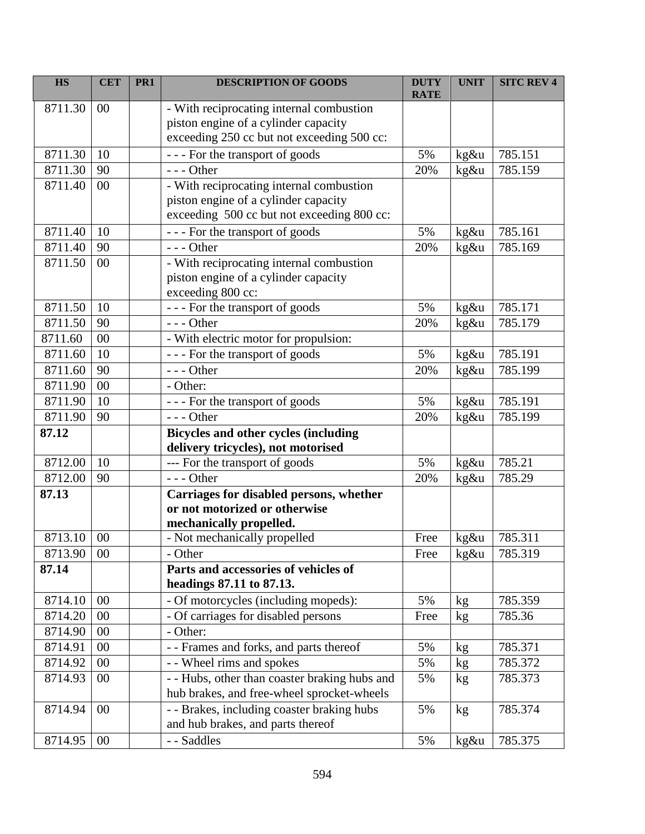| <b>HS</b> | <b>CET</b> | PR <sub>1</sub> | <b>DESCRIPTION OF GOODS</b>                   | <b>DUTY</b><br><b>RATE</b> | <b>UNIT</b> | <b>SITC REV 4</b> |
|-----------|------------|-----------------|-----------------------------------------------|----------------------------|-------------|-------------------|
| 8711.30   | 00         |                 | - With reciprocating internal combustion      |                            |             |                   |
|           |            |                 | piston engine of a cylinder capacity          |                            |             |                   |
|           |            |                 | exceeding 250 cc but not exceeding 500 cc:    |                            |             |                   |
| 8711.30   | 10         |                 | --- For the transport of goods                | 5%                         | kg&u        | 785.151           |
| 8711.30   | 90         |                 | $--$ Other                                    | 20%                        | kg&u        | 785.159           |
| 8711.40   | 00         |                 | - With reciprocating internal combustion      |                            |             |                   |
|           |            |                 | piston engine of a cylinder capacity          |                            |             |                   |
|           |            |                 | exceeding 500 cc but not exceeding 800 cc:    |                            |             |                   |
| 8711.40   | 10         |                 | --- For the transport of goods                | 5%                         | kg&u        | 785.161           |
| 8711.40   | 90         |                 | $--$ Other                                    | 20%                        | kg&u        | 785.169           |
| 8711.50   | 00         |                 | - With reciprocating internal combustion      |                            |             |                   |
|           |            |                 | piston engine of a cylinder capacity          |                            |             |                   |
|           |            |                 | exceeding 800 cc:                             |                            |             |                   |
| 8711.50   | 10         |                 | --- For the transport of goods                | 5%                         | kg&u        | 785.171           |
| 8711.50   | 90         |                 | $--$ Other                                    | 20%                        | kg&u        | 785.179           |
| 8711.60   | 00         |                 | - With electric motor for propulsion:         |                            |             |                   |
| 8711.60   | 10         |                 | --- For the transport of goods                | 5%                         | kg&u        | 785.191           |
| 8711.60   | 90         |                 | $--$ Other                                    | 20%                        | kg&u        | 785.199           |
| 8711.90   | 00         |                 | - Other:                                      |                            |             |                   |
| 8711.90   | 10         |                 | --- For the transport of goods                | 5%                         | kg&u        | 785.191           |
| 8711.90   | 90         |                 | $--$ Other                                    | 20%                        | kg&u        | 785.199           |
| 87.12     |            |                 | <b>Bicycles and other cycles (including</b>   |                            |             |                   |
|           |            |                 | delivery tricycles), not motorised            |                            |             |                   |
| 8712.00   | 10         |                 | --- For the transport of goods                | 5%                         | kg&u        | 785.21            |
| 8712.00   | 90         |                 | $--$ Other                                    | 20%                        | kg&u        | 785.29            |
| 87.13     |            |                 | Carriages for disabled persons, whether       |                            |             |                   |
|           |            |                 | or not motorized or otherwise                 |                            |             |                   |
|           |            |                 | mechanically propelled.                       |                            |             |                   |
| 8713.10   | 00         |                 | - Not mechanically propelled                  | Free                       | kg&u        | 785.311           |
| 8713.90   | 00         |                 | - Other                                       | Free                       | kg&u        | 785.319           |
| 87.14     |            |                 | Parts and accessories of vehicles of          |                            |             |                   |
|           |            |                 | headings 87.11 to 87.13.                      |                            |             |                   |
| 8714.10   | 00         |                 | - Of motorcycles (including mopeds):          | 5%                         | kg          | 785.359           |
| 8714.20   | 00         |                 | - Of carriages for disabled persons           | Free                       | kg          | 785.36            |
| 8714.90   | 00         |                 | - Other:                                      |                            |             |                   |
| 8714.91   | 00         |                 | - - Frames and forks, and parts thereof       | 5%                         | kg          | 785.371           |
| 8714.92   | 00         |                 | - - Wheel rims and spokes                     | 5%                         | kg          | 785.372           |
| 8714.93   | $00\,$     |                 | - - Hubs, other than coaster braking hubs and | 5%                         | kg          | 785.373           |
|           |            |                 | hub brakes, and free-wheel sprocket-wheels    |                            |             |                   |
| 8714.94   | 00         |                 | - - Brakes, including coaster braking hubs    | 5%                         | kg          | 785.374           |
|           |            |                 | and hub brakes, and parts thereof             |                            |             |                   |
| 8714.95   | $00\,$     |                 | - - Saddles                                   | 5%                         | kg&u        | 785.375           |